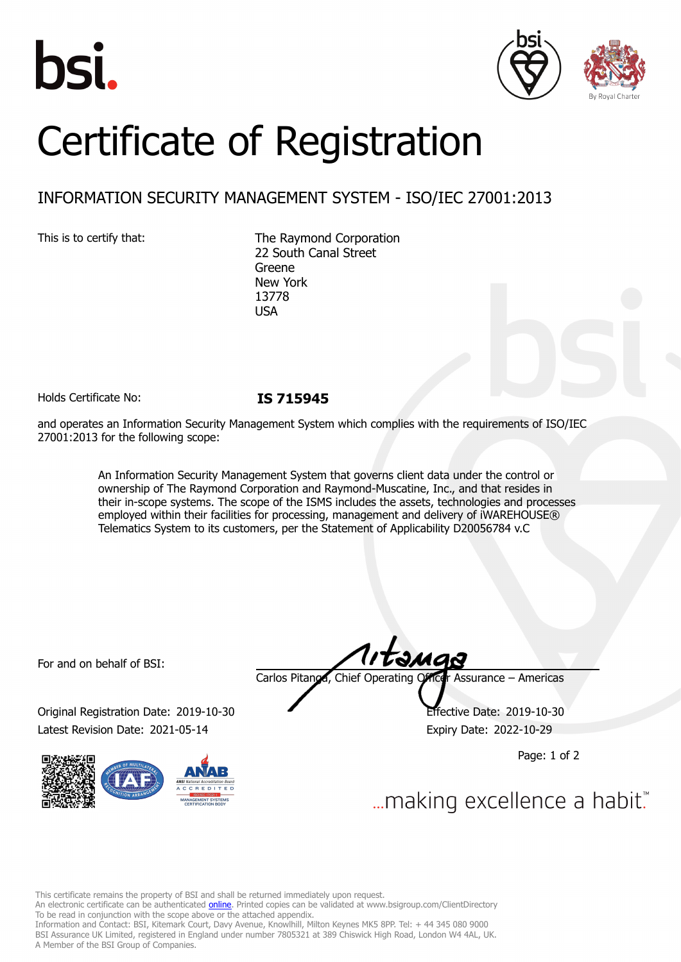





# Certificate of Registration

## INFORMATION SECURITY MANAGEMENT SYSTEM - ISO/IEC 27001:2013

This is to certify that: The Raymond Corporation 22 South Canal Street Greene New York 13778 USA

Holds Certificate No: **IS 715945**

and operates an Information Security Management System which complies with the requirements of ISO/IEC 27001:2013 for the following scope:

> An Information Security Management System that governs client data under the control or ownership of The Raymond Corporation and Raymond-Muscatine, Inc., and that resides in their in-scope systems. The scope of the ISMS includes the assets, technologies and processes employed within their facilities for processing, management and delivery of iWAREHOUSE® Telematics System to its customers, per the Statement of Applicability D20056784 v.C

For and on behalf of BSI:

Original Registration Date: 2019-10-30 Effective Date: 2019-10-30 Latest Revision Date: 2021-05-14 Expiry Date: 2022-10-29



tamas Carlos Pitanga, Chief Operating Officer Assurance – Americas

Page: 1 of 2

... making excellence a habit."

This certificate remains the property of BSI and shall be returned immediately upon request.

An electronic certificate can be authenticated *[online](https://pgplus.bsigroup.com/CertificateValidation/CertificateValidator.aspx?CertificateNumber=IS+715945&ReIssueDate=14%2f05%2f2021&Template=inc)*. Printed copies can be validated at www.bsigroup.com/ClientDirectory To be read in conjunction with the scope above or the attached appendix.

Information and Contact: BSI, Kitemark Court, Davy Avenue, Knowlhill, Milton Keynes MK5 8PP. Tel: + 44 345 080 9000 BSI Assurance UK Limited, registered in England under number 7805321 at 389 Chiswick High Road, London W4 4AL, UK. A Member of the BSI Group of Companies.